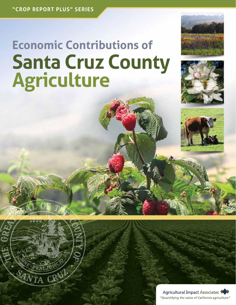# **Economic Contributions of Santa Cruz County Agriculture**







Agricultural Impact Associates "Quantifying the value of California agriculture"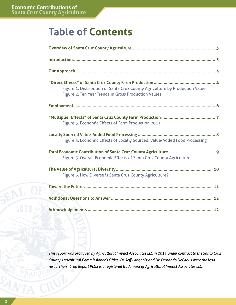# **Table of Contents**

| Figure 1. Distribution of Santa Cruz County Agriculture by Production Value<br>Figure 2. Ten Year Trends in Gross Production Values |
|-------------------------------------------------------------------------------------------------------------------------------------|
|                                                                                                                                     |
| Figure 3. Economic Effects of Farm Production 2011                                                                                  |
| Figure 4. Economic Effects of Locally Sourced, Value-Added Food Processing                                                          |
| Figure 5. Overall Economic Effects of Santa Cruz County Agriculture                                                                 |
| Figure 6. How Diverse is Santa Cruz County Agriculture?                                                                             |
|                                                                                                                                     |
|                                                                                                                                     |
|                                                                                                                                     |

*This report was produced by Agricultural Impact Associates LLC in 2013 under contract to the Santa Cruz County Agricultural Commissioner's Office. Dr. Jeff Langholz and Dr. Fernando DePaolis were the lead researchers. Crop Report PLUS is a registered trademark of Agricultural Impact Associates LLC.*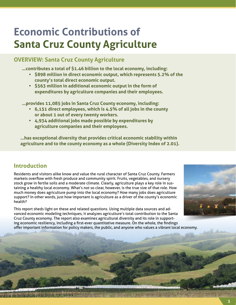# **Economic Contributions of Santa Cruz County Agriculture**

## **OVERVIEW: Santa Cruz County Agriculture**

**…contributes a total of \$1.46 billion to the local economy, including:**

- **\$898 million in direct economic output, which represents 5.2% of the county's total direct economic output.**
- **\$563 million in additional economic output in the form of expenditures by agriculture companies and their employees.**

**…provides 11,085 jobs in Santa Cruz County economy, including:**

- **• 6,151 direct employees, which is 4.5% of all jobs in the county or about 1 out of every twenty workers.**
- **• 4,934 additional jobs made possible by expenditures by agriculture companies and their employees.**

**…has exceptional diversity that provides critical economic stability within agriculture and to the county economy as a whole (Diversity Index of 2.01).**

### **Introduction**

Residents and visitors alike know and value the rural character of Santa Cruz County. Farmers markets overflow with fresh produce and community spirit. Fruits, vegetables, and nursery stock grow in fertile soils and a moderate climate. Clearly, agriculture plays a key role in sustaining a healthy local economy. What's not so clear, however, is the true size of that role. How much money does agriculture pump into the local economy? How many jobs does agriculture support? In other words, just how important is agriculture as a driver of the county's economic health?

This report sheds light on these and related questions. Using multiple data sources and advanced economic modeling techniques, it analyzes agriculture's total contribution to the Santa Cruz County economy. The report also examines agricultural diversity and its role in supporting economic resiliency, including a first-ever quantitative measure. On the whole, the findings offer important information for policy makers, the public, and anyone who values a vibrant local economy.



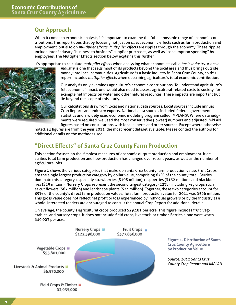#### **Our Approach**

When it comes to economic analysis, it's important to examine the fullest possible range of economic contributions. This report does that by focusing not just on *direct* economic effects such as farm production and employment, but also on *multiplier effects*. *Multiplier effects* are ripples through the economy. These ripples include inter-industry "business to business" supplier purchases, as well as "consumption spending" by employees. The Multiplier Effects section below explains this further.

It's appropriate to calculate *multiplier effects* when analyzing what economists call a *basic industry*. A *basic* 



*industry* is one that sells most of its products beyond the local area and thus brings outside money into local communities. Agriculture is a basic industry in Santa Cruz County, so this report includes *multiplier effects* when describing agriculture's total economic contribution.

Our analysis only examines agriculture's economic contributions. To understand agriculture's full economic impact, one would also need to assess agricultural-related costs to society, for example net impacts on water and other natural resources. These impacts are important but lie beyond the scope of this study.

Our calculations draw from local and national data sources. Local sources include annual Crop Reports and industry experts. National data sources included federal government statistics and a widely used economic modeling program called IMPLAN®. Where data judgments were required, we used the most conservative (lowest) numbers and adjusted IMPLAN figures based on consultations with local experts and other sources. Except where otherwise

noted, all figures are from the year 2011, the most recent dataset available. Please contact the authors for additional details on the methods used.

#### **"Direct Effects" of Santa Cruz County Farm Production**

This section focuses on the simplest measures of economic output: production and employment. It describes total farm production and how production has changed over recent years, as well as the number of agriculture jobs

**Figure 1** shows the various categories that make up Santa Cruz County farm production value. Fruit Crops are the single largest production category by dollar value, comprising 67% of the county total. Berries dominate this category, especially strawberries (\$198 million), raspberries (\$132 million), and blackberries (\$29 million). Nursery Crops represent the second largest category (22%), including key crops such as cut flowers (\$67 million) and landscape plants (\$24 million). Together, these two categories account for 89% of the county's direct farm production values. Total farm production value for 2011 was \$566 million. This gross value does not reflect net profit or loss experienced by individual growers or by the industry as a whole. Interested readers are encouraged to consult the annual Crop Report for additional details.

On average, the county's agricultural crops produced \$29,181 per acre. This figure includes fruit, vegetables, and nursery crops. It does not include field crops, livestock, or timber. Berries alone were worth \$49,003 per acre.



**Figure 1. Distribution of Santa Cruz County Agriculture by Production Value**

*Source: 2011 Santa Cruz County Crop Report and IMPLAN*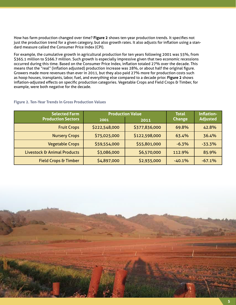How has farm production changed over time? **Figure 2** shows ten-year production trends. It specifies not just the production trend for a given category, but also growth rates. It also adjusts for inflation using a standard measure called the Consumer Price Index (CPI).

For example, the cumulative growth in agricultural production for ten years following 2001 was 55%, from \$365.1 million to \$566.7 million. Such growth is especially impressive given that two economic recessions occurred during this time. Based on the Consumer Price Index, inflation totaled 27% over the decade. This means that the "real" (inflation adjusted) production increase was 28%, or about half the original figure. Growers made more revenues than ever in 2011, but they also paid 27% more for production costs such as hoop houses, transplants, labor, fuel, and everything else compared to a decade prior. **Figure 2** shows inflation-adjusted effects on specific production categories. Vegetable Crops and Field Crops & Timber, for example, were both negative for the decade.

| <b>Selected Farm</b>            | <b>Production Value</b> |               | <b>Total</b>  | Inflation-      |
|---------------------------------|-------------------------|---------------|---------------|-----------------|
| <b>Production Sectors</b>       | 2001                    | 2011          | <b>Change</b> | <b>Adjusted</b> |
| <b>Fruit Crops</b>              | \$222,548,000           | \$377,836,000 | 69.8%         | 42.8%           |
| <b>Nursery Crops</b>            | \$75,025,000            | \$122,598,000 | 63.4%         | 36.4%           |
| <b>Vegetable Crops</b>          | \$59,554,000            | \$55,801,000  | $-6.3%$       | $-33.3%$        |
| Livestock & Animal Products     | \$3,086,000             | \$6,570,000   | 112.9%        | 85.9%           |
| <b>Field Crops &amp; Timber</b> | \$4,897,000             | \$2,935,000   | $-40.1%$      | $-67.1%$        |

#### **Figure 2. Ten-Year Trends in Gross Production Values**

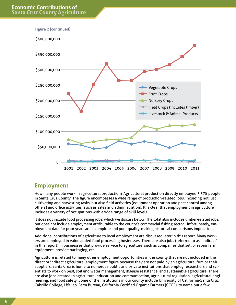

#### **Employment**

How many people work in agricultural production? Agricultural production directly employed 5,378 people in Santa Cruz County. The figure encompasses a wide range of production-related jobs, including not just cultivating and harvesting tasks, but also field activities (equipment operation and pest control among others) and office activities (such as sales and administration). It is clear that employment in agriculture includes a variety of occupations with a wide range of skill levels.

It does not include food processing jobs, which we discuss below. The total also includes timber-related jobs, but does not include employment attributable to the county's commercial fishing sector. Unfortunately, employment data for prior years are incomplete and poor quality, making historical comparisons impractical.

Additional contributions of agriculture to local employment are discussed later in this report. Many workers are employed in value added food processing businesses. There are also jobs (referred to as "indirect" in this report) in businesses that provide service to agriculture, such as companies that sell or repair farm equipment, provide packaging, etc.

Agriculture is related to many other employment opportunities in the county that are not included in the direct or indirect agricultural employment figure because they are not paid by an agricultural firm or their suppliers. Santa Cruz is home to numerous public and private institutions that employ researchers and scientists to work on pest, soil and water management, disease resistance, and sustainable agriculture. There are also jobs created in agricultural education and communication, agricultural regulation, agricultural engineering, and food safety. Some of the institutions in our county include University of California-Santa Cruz, Cabrillo College, LifeLab, Farm Bureau, California Certified Organic Farmers (CCOF), to name but a few.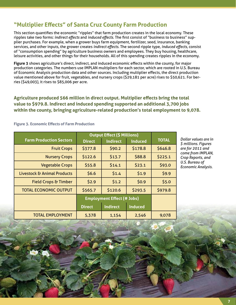#### **"Multiplier Effects" of Santa Cruz County Farm Production**

This section quantifies the economic "ripples" that farm production creates in the local economy. These ripples take two forms: *indirect effects* and *induced effects*. The first consist of "business to business" supplier purchases. For example, when a grower buys farm equipment, fertilizer, seed, insurance, banking services, and other inputs, the grower creates *indirect effects*. The second ripple type, *induced effects*, consist of "consumption spending" by agriculture business owners and employees. They buy housing, healthcare, leisure activities, and other things for their households. All of this spending creates ripples in the economy.

**Figure 3** shows agriculture's direct, indirect, and induced economic effects within the county, for major production categories. The numbers use IMPLAN multipliers for each sector, which are rooted in U.S. Bureau of Economic Analysis production data and other sources. Including multiplier effects, the direct production value mentioned above for fruit, vegetables, and nursery crops (\$29,181 per acre) rises to \$50,621. For berries (\$49,003), it rises to \$85,006 per acre.

**Agriculture produced 566 million in direct output. Multiplier effects bring the total value to \$979.8. Indirect and induced spending supported an additional 3,700 jobs within the county, bringing agriculture-related production's total employment to 9,078.**

|                                 | <b>Output Effect (\$ Millions)</b> |                 |                |              |
|---------------------------------|------------------------------------|-----------------|----------------|--------------|
| <b>Farm Production Sectors</b>  | <b>Direct</b>                      | <b>Indirect</b> | <b>Induced</b> | <b>TOTAL</b> |
| <b>Fruit Crops</b>              | \$377.8                            | \$90.2          | \$178.8        | \$646.8      |
| <b>Nursery Crops</b>            | \$122.6                            | \$13.7          | \$88.8         | \$225.1      |
| <b>Vegetable Crops</b>          | \$55.8                             | \$14.1          | \$23.1         | \$93.0       |
| Livestock & Animal Products     | \$6.6                              | \$1.4           | \$1.9          | \$9.9        |
| <b>Field Crops &amp; Timber</b> | \$2.9                              | \$1.2           | \$0.9          | \$5.0        |
| <b>TOTAL ECONOMIC OUTPUT</b>    | \$565.7                            | \$120.6         | \$293.5        | \$979.8      |
|                                 | <b>Employment Effect (# Jobs)</b>  |                 |                |              |
|                                 | <b>Direct</b>                      | <b>Indirect</b> | <b>Induced</b> |              |
| <b>TOTAL EMPLOYMENT</b>         | 5,378                              | 1,154           | 2,546          | 9,078        |

**Figure 3. Economic Effects of Farm Production**

*Dollar values are in \$ millions. Figures are for 2011 and come from IMPLAN, Crop Reports, and U.S. Bureau of Economic Analysis.*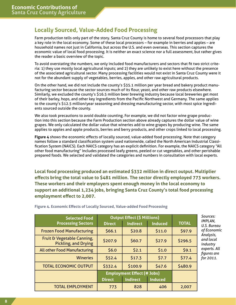#### **Locally Sourced, Value-Added Food Processing**

Farm production tells only part of the story. Santa Cruz County is home to several food processors that play a key role in the local economy. Some of these local processors – for example in berries and apples – are household names not just in California, but across the U.S. and even overseas. This section captures the economic value of local food processing. It is neither an exact science nor a full assessment, but rather gives the reader a basic overview of the topic.

To avoid overstating the numbers, we only included food manufacturers and sectors that fit two strict criteria: 1) they use mostly local agricultural inputs; and 2) they are unlikely to exist here without the presence of the associated agricultural sector. Many processing facilities would not exist in Santa Cruz County were it not for the abundant supply of vegetables, berries, apples, and other raw agricultural products.

On the other hand, we did not include the county's \$35.1 million per year bread and bakery product manufacturing sector because the sector sources much of its flour, yeast, and other raw products elsewhere. Similarly, we excluded the county's \$16.5 million beer brewing industry because local breweries get most of their barley, hops, and other key ingredients from the Pacific Northwest and Germany. The same applies to the county's \$12.5 million/year seasoning and dressing manufacturing sector, with most spice ingredients sourced outside the county.

We also took precautions to avoid double counting. For example, we did not factor wine grape production into this section because the Farm Production section above already captures the dollar value of wine grapes. We only calculated the dollar value that wineries add to wine grapes by producing wine. The same applies to apples and apple products, berries and berry products, and other crops linked to local processing.

**Figure 4** shows the economic effects of locally sourced, value-added food processing. Note that category names follow a standard classification system used nationwide, called the North American Industrial Classification System (NAICS). Each NAICS category has an explicit definition. For example, the NAICS category "All other food manufacturing" includes processed leafy greens, peeled or cut vegetables, and other perishable prepared foods. We selected and validated the categories and numbers in consultation with local experts.

**Local food processing produced an estimated \$332 million in direct output. Multiplier effects bring the total value to \$481 million. The sector directly employed 773 workers. These workers and their employers spent enough money in the local economy to support an additional 1,234 jobs, bringing Santa Cruz County's total food processing employment effect to 2,007.**

| <b>Selected Food</b>                                      | <b>Output Effect (\$ Millions)</b> |                 |                |              |
|-----------------------------------------------------------|------------------------------------|-----------------|----------------|--------------|
| <b>Processing Sectors</b>                                 | <b>Direct</b>                      | <b>Indirect</b> | <b>Induced</b> | <b>TOTAL</b> |
| <b>Frozen Food Manufacturing</b>                          | 566.1                              | \$20.8          | \$11.0         | \$97.9       |
| Fruit & Vegetable Canning,<br><b>Pickling, and Drying</b> | \$207.9                            | \$60.7          | \$27.9         | \$296.5      |
| <b>All other Food Manufacturing</b>                       | \$6.0                              | \$2.1           | \$1.0          | \$9.1        |
| <b>Wineries</b>                                           | \$52.4                             | \$17.3          | 57.7           | \$77.4       |
| <b>TOTAL ECONOMIC OUTPUT</b>                              | \$332.4                            | \$100.9         | \$47.6         | \$480.9      |
|                                                           | <b>Employment Effect (# Jobs)</b>  |                 |                |              |
|                                                           | <b>Direct</b>                      | <b>Indirect</b> | <b>Induced</b> |              |
| <b>TOTAL EMPLOYMENT</b>                                   | 773                                | 828             | 406            | 2,007        |

**Figure 4. Economic Effects of Locally Sourced, Value-added Food Processing**

*Sources: IMPLAN, U.S. Bureau of Economic Analysis, and local industry experts. All figures are for 2011.*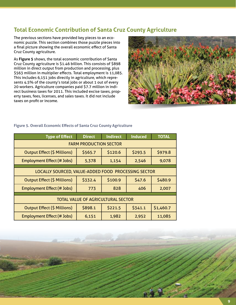#### **Total Economic Contribution of Santa Cruz County Agriculture**

The previous sections have provided key pieces to an economic puzzle. This section combines those puzzle pieces into a final picture showing the overall economic effect of Santa Cruz County agriculture.

As **Figure 5** shows, the total economic contribution of Santa Cruz County agriculture is \$1.46 billion. This consists of \$898 million in direct output from production and processing, plus \$563 million in multiplier effects. Total employment is 11,085. This includes 6,151 jobs directly in agriculture, which represents 4.5% of the county's total jobs or about 1 out of every 20 workers. Agriculture companies paid \$7.7 million in indirect business taxes for 2011. This included excise taxes, property taxes, fees, licenses, and sales taxes. It did not include taxes on profit or income.



#### **Figure 5. Overall Economic Effects of Santa Cruz County Agriculture**

| <b>Type of Effect</b>                               | <b>Direct</b> | <b>Indirect</b> | Induced | <b>TOTAL</b> |
|-----------------------------------------------------|---------------|-----------------|---------|--------------|
| <b>FARM PRODUCTION SECTOR</b>                       |               |                 |         |              |
| <b>Output Effect (\$ Millions)</b>                  | \$565.7       | \$120.6         | \$293.5 | \$979.8      |
| <b>Employment Effect (# Jobs)</b>                   | 5,378         | 1,154           | 2,546   | 9,078        |
|                                                     |               |                 |         |              |
| LOCALLY SOURCED, VALUE-ADDED FOOD PROCESSING SECTOR |               |                 |         |              |
| <b>Output Effect (\$ Millions)</b>                  | \$332.4       | \$100.9         | \$47.6  | \$480.9      |
| <b>Employment Effect (# Jobs)</b>                   | 773           | 828             | 406     | 2,007        |
|                                                     |               |                 |         |              |
| <b>TOTAL VALUE OF AGRICULTURAL SECTOR</b>           |               |                 |         |              |
| <b>Output Effect (\$ Millions)</b>                  | \$898.1       | \$221.5         | \$341.1 | \$1,460.7    |
| <b>Employment Effect (# Jobs)</b>                   | 6,151         | 1,982           | 2,952   | 11,085       |

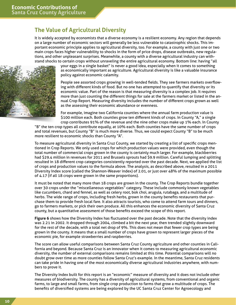### **The Value of Agricultural Diversity**

It is widely accepted by economists that a diverse economy is a resilient economy. Any region that depends on a large number of economic sectors will generally be less vulnerable to catastrophic shocks. This important economic principle applies to agricultural diversity, too. For example, a county with just one or two main crops faces higher vulnerability to shocks in the form of price drops, disease outbreaks, new regulations, and other unpleasant surprises. Meanwhile, a county with a diverse agricultural industry can withstand shocks to certain crops without unraveling the entire agricultural economy. Bottom line: having "all



your eggs in a single basket" is never a good idea, especially when it comes to something as economically important as agriculture. Agricultural diversity is like a valuable insurance policy against economic calamity.

People see assorted crops growing in well-tended fields. They see farmers markets overflowing with different kinds of food. But no one has attempted to quantify that diversity or its economic value. Part of the reason is that measuring diversity is a complex job. It requires more than just counting the different things for sale at the farmers market or listed in the annual Crop Report. Measuring diversity includes the number of different crops grown as well as the assessing their economic abundance or evenness.

For example, imagine two California counties where the annual farm production value is \$100 million each. Both counties grow ten different kinds of crops. In County "A," a single crop contributes 91% of the revenue and the nine other crops make up 1% each. In County

"B" the ten crop types all contribute equally, at 10% each. Both counties have the same number of crops and total revenues, but County "B" is much more diverse. Thus, we could expect County "B" to be much more resilient to economic shocks than County "A".

To measure agricultural diversity in Santa Cruz County, we started by creating a list of specific crops mentioned in Crop Reports. We only used crops for which production values were provided, even though the total number of commercial crops grown in the county is certainly much larger. For example, blackberries had \$29.4 million in revenues for 2011 and Brussels sprouts had \$9.9 million. Careful lumping and splitting resulted in 18 different crop categories consistently reported over the past decade. Next, we applied the list of crops and production values to the formula above. The analysis, as described above, resulted in a 2011 Diversity Index score (called the Shannon-Weaver index) of 2.01, or just over 48% of the maximum possible of 4.17 (if all 18 crops were grown in the same proportions).

It must be noted that many more than 18 crops are grown in the county. The Crop Reports bundle together over 30 crops under the "miscellaneous vegetables" category. These include commonly known vegetables like cucumbers, chard and fennel, as well as celery root, bok choi, arugula, rutabaga, and a multitude of herbs. The wide range of crops, including fresh herbs, grown in the county benefits restaurants that purchase them to provide fresh local fare. It also attracts tourists, who come to attend farm tours and dinners, go to farmers markets, or pick their own produce. All this enhances the economic diversity of Santa Cruz county, but a quantitative assessment of those benefits exceed the scope of this report.

**Figure 6** shows how the Diversity Index has fluctuated over the past decade. Note that the diversity index was 2.21 in 2002. It dropped through 2004, climbed a bit the next year, then trended slightly downward for the rest of the decade, with a total net drop of 9%. This does not mean that fewer crop types are being grown in the county. It means that a small number of crops have grown to represent larger pieces of the economic pie, for example strawberries and raspberries.

The score can allow useful comparisons between Santa Cruz County agriculture and other counties in California and beyond. Because Santa Cruz is an innovator when it comes to measuring agricultural economic diversity, the number of external comparisons remains limited at this time. Potential comparisons will no doubt grow over time as more counties follow Santa Cruz's example. In the meantime, Santa Cruz residents can take pride in having one of the most economically diverse agricultural industries anywhere, with numbers to prove it.

The Diversity Index built for this report is an "economic" measure of diversity and it does not include other measures of biodiversity. The county has a diversity of agricultural systems, from conventional and organic farms, to large and small farms, from single crop production to farms that grow a multitude of crops. The benefits of diversified systems are being explored by the UC Santa Cruz Center for Agroecology and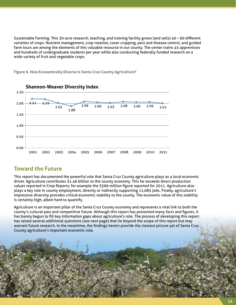Sustainable Farming. This 30-acre research, teaching, and training facility grows (and sells) 40 – 60 different varieties of crops. Nutrient management, crop rotation, cover cropping, pest and disease control, and guided farm tours are among the elements of this valuable resource in our county. The center trains 45 apprentices and hundreds of undergraduate students per year while also conducting federally funded research on a wide variety of fruit and vegetable crops.





#### **Toward the Future**

This report has documented the powerful role that Santa Cruz County agriculture plays as a local economic driver. Agriculture contributes \$1.46 billion to the county economy. This far exceeds direct production values reported in Crop Reports, for example the \$566 million figure reported for 2011. Agriculture also plays a key role in county employment, directly or indirectly supporting 11,085 jobs. Finally, agriculture's impressive diversity provides critical economic stability to the county. The economic value of this stability is certainly high, albeit hard to quantify.

Agriculture is an important pillar of the Santa Cruz County economy and represents a vital link to both the county's cultural past and competitive future. Although this report has presented many facts and figures, it has barely begun to fill key information gaps about agriculture's role. The process of developing this report has raised several additional questions (see next page) that lie beyond the scope of this report but may warrant future research. In the meantime, the findings herein provide the clearest picture yet of Santa Cruz County agriculture's important economic role.